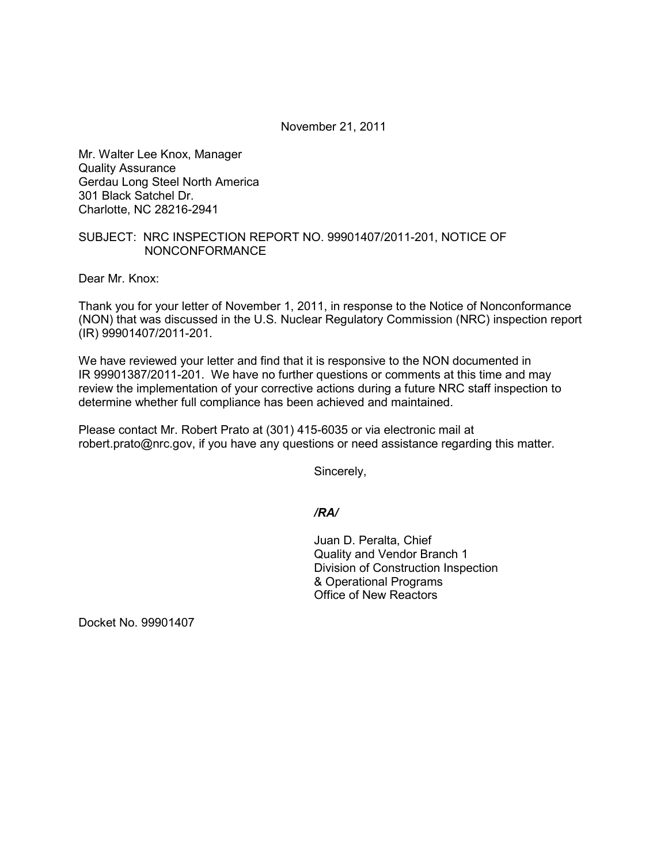November 21, 2011

Mr. Walter Lee Knox, Manager Quality Assurance Gerdau Long Steel North America 301 Black Satchel Dr. Charlotte, NC 28216-2941

## SUBJECT: NRC INSPECTION REPORT NO. 99901407/2011-201, NOTICE OF NONCONFORMANCE

Dear Mr. Knox:

Thank you for your letter of November 1, 2011, in response to the Notice of Nonconformance (NON) that was discussed in the U.S. Nuclear Regulatory Commission (NRC) inspection report (IR) 99901407/2011-201.

We have reviewed your letter and find that it is responsive to the NON documented in IR 99901387/2011-201. We have no further questions or comments at this time and may review the implementation of your corrective actions during a future NRC staff inspection to determine whether full compliance has been achieved and maintained.

Please contact Mr. Robert Prato at (301) 415-6035 or via electronic mail at robert.prato@nrc.gov, if you have any questions or need assistance regarding this matter.

Sincerely,

*/RA/* 

Juan D. Peralta, Chief Quality and Vendor Branch 1 Division of Construction Inspection & Operational Programs Office of New Reactors

Docket No. 99901407